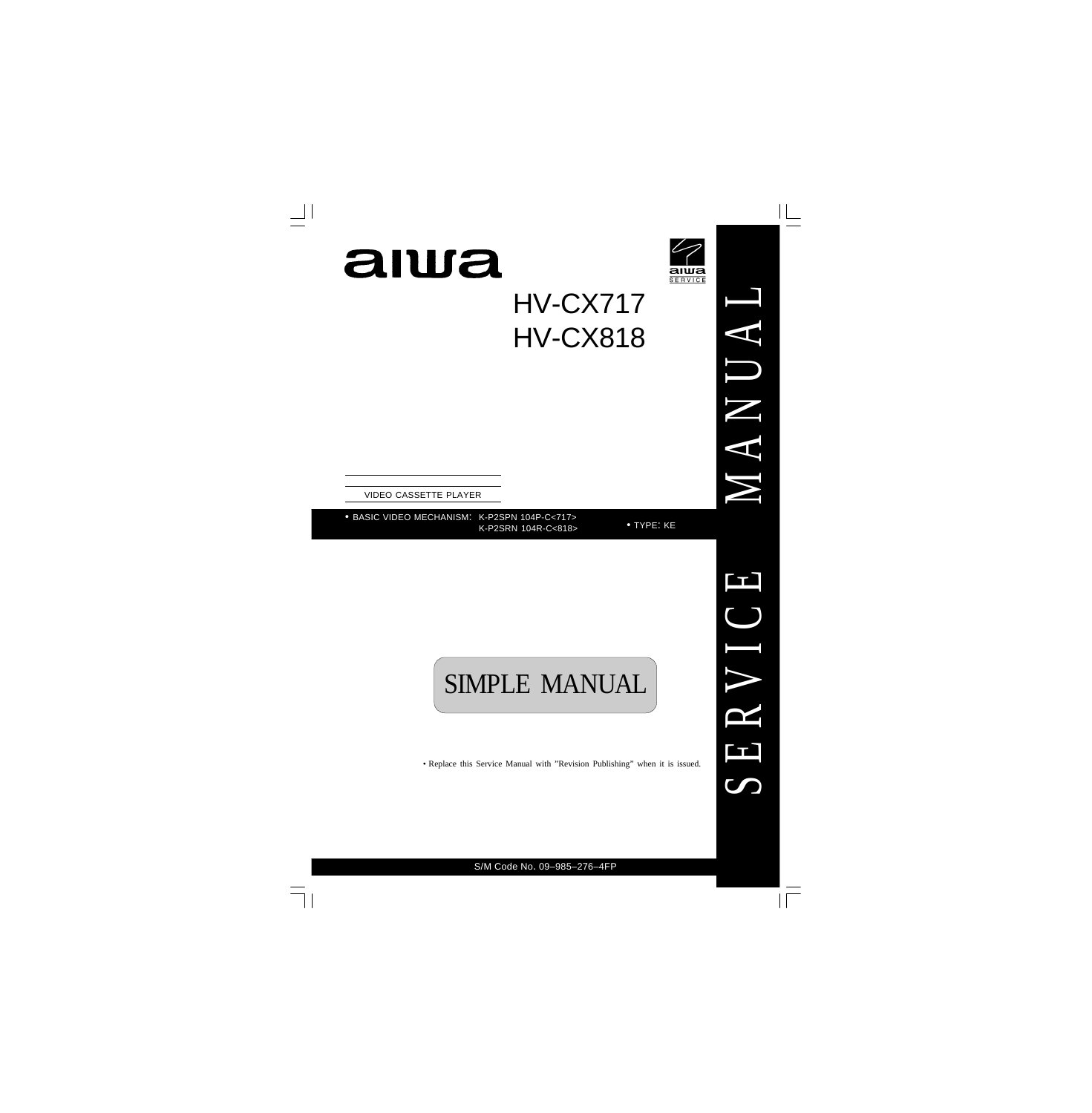



HV-CX717 HV-CX818

VIDEO CASSETTE PLAYER

• BASIC VIDEO MECHANISM: K-P2SPN 104P-C<717> K-P2SRN 104R-C<818>

• TYPE: KE

# SIMPLE MANUAL

• Replace this Service Manual with "Revision Publishing" when it is issued.

M

 $\triangleleft$ 

N

U

A

L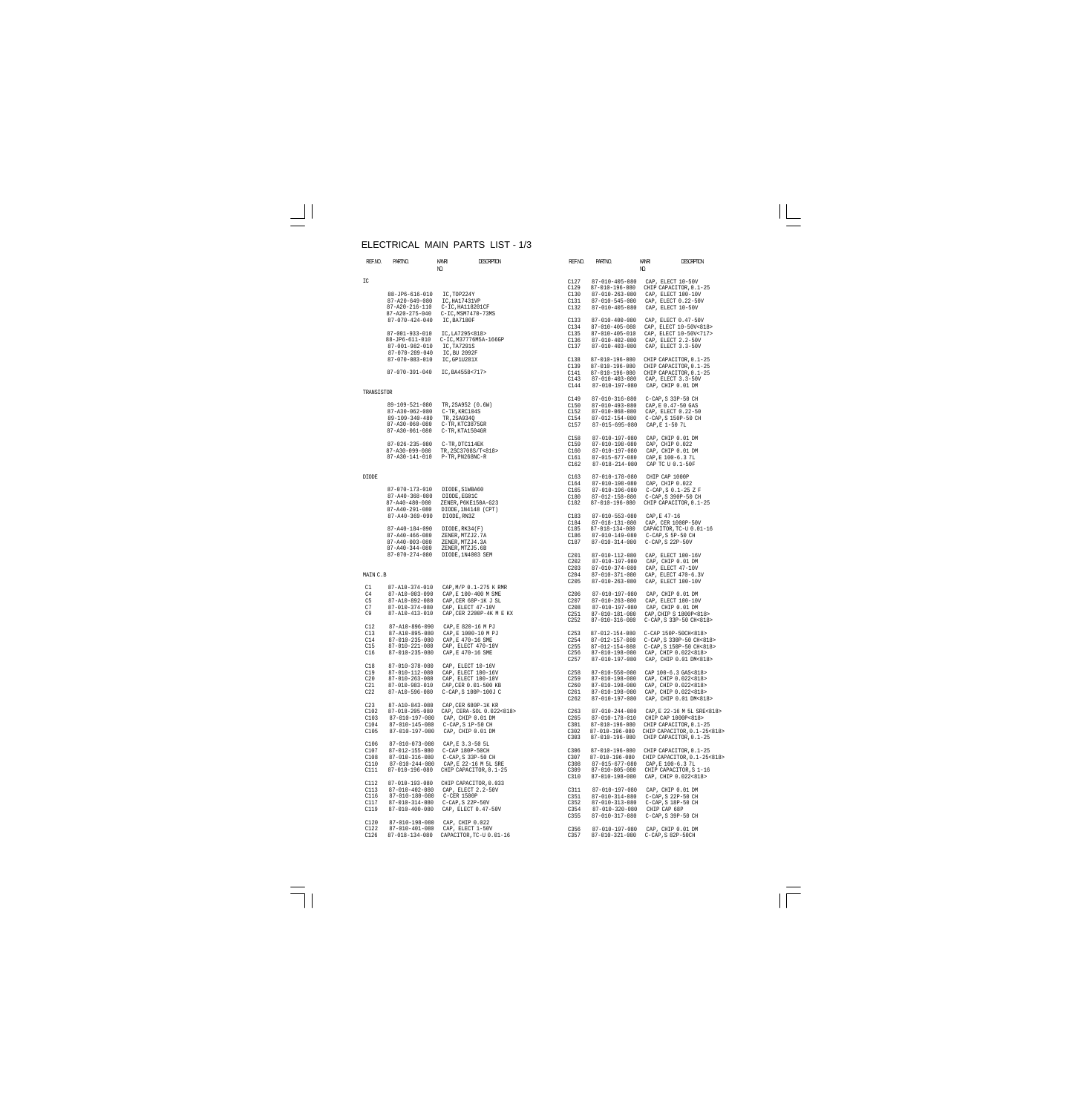#### ELECTRICAL MAIN PARTS LIST - 1/3

| REF.NO.         | PARTINO.                                         | kanr<br>NO.                            | <b>DESCRIPTION</b>                              | REF.NO.          | PARTNO.                                  | KANRI<br>NO. | <b>DESCRPTION</b>                              |
|-----------------|--------------------------------------------------|----------------------------------------|-------------------------------------------------|------------------|------------------------------------------|--------------|------------------------------------------------|
| IC              |                                                  |                                        |                                                 | C127             | $87 - 010 - 405 - 080$                   |              | CAP, ELECT 10-50V                              |
|                 |                                                  |                                        |                                                 | C129             | 87-010-196-080                           |              | CHIP CAPACITOR, 0.1-25                         |
|                 | 88-JP6-616-010                                   | IC,TOP224Y                             |                                                 | C130             | $87 - 010 - 263 - 080$                   |              | CAP, ELECT 100-10V                             |
|                 | $87 - A20 - 649 - 080$                           | IC, HA17431VP                          |                                                 | C131             | 87-010-545-080                           |              | CAP, ELECT 0.22-50V                            |
|                 | 87-A20-216-110<br>87-A20-275-040                 | C-IC, HA118201CF<br>C-IC, MSM7470-73MS |                                                 | C132             | $87 - 010 - 405 - 080$                   |              | CAP, ELECT 10-50V                              |
|                 | $87 - 070 - 424 - 040$                           | IC, BA7180F                            |                                                 | C133             | $87 - 010 - 400 - 080$                   |              | CAP, ELECT 0.47-50V                            |
|                 |                                                  |                                        |                                                 | C134             | 87-010-405-080                           |              | CAP, ELECT 10-50V<818>                         |
|                 | 87-001-933-010                                   | IC, LA7295<818>                        |                                                 | C135             | 87-010-405-010                           |              | CAP, ELECT 10-50V<717>                         |
|                 | 88-JP6-611-010                                   |                                        | C-IC, M37776M5A-166GP                           | C136             | 87-010-402-080                           |              | CAP, ELECT 2.2-50V                             |
|                 | 87-001-982-010                                   | IC, TA7291S                            |                                                 | C137             | $87 - 010 - 403 - 080$                   |              | CAP, ELECT 3.3-50V                             |
|                 | $87 - 070 - 289 - 040$<br>$87 - 070 - 083 - 010$ | IC, BU 2092F<br>IC, GP1U281X           |                                                 | C138             |                                          |              | CHIP CAPACITOR, 0.1-25                         |
|                 |                                                  |                                        |                                                 | C139             | 87-010-196-080<br>87-010-196-080         |              | CHIP CAPACITOR, 0.1-25                         |
|                 | 87-070-391-040                                   | IC, BA4558<717>                        |                                                 | C141             | 87-010-196-080                           |              | CHIP CAPACITOR, 0.1-25                         |
|                 |                                                  |                                        |                                                 | C143             | $87 - 010 - 403 - 080$                   |              | CAP, ELECT 3.3-50V                             |
|                 |                                                  |                                        |                                                 | C144             | 87-010-197-080                           |              | CAP, CHIP 0.01 DM                              |
| TRANSISTOR      |                                                  |                                        |                                                 | C149             | 87-010-316-080                           |              | $C-CAP$ , S 33P-50 CH                          |
|                 | 89-109-521-080                                   | TR, 2SA952 (0.6W)                      |                                                 | C150             | 87-010-493-080                           |              | CAP, E 0.47-50 GAS                             |
|                 | 87-A30-062-080                                   | C-TR, KRC104S                          |                                                 | C152             | 87-010-068-080                           |              | CAP, ELECT 0.22-50                             |
|                 | $89 - 109 - 340 - 480$                           | TR, 2SA934Q                            |                                                 | C154             | 87-012-154-080                           |              | C-CAP, S 150P-50 CH                            |
|                 | 87-A30-060-080                                   | C-TR, KTC3875GR                        |                                                 | C157             | 87-015-695-080                           |              | CAP, E 1-50 7L                                 |
|                 | 87-A30-061-080                                   | C-TR, KTA1504GR                        |                                                 |                  |                                          |              |                                                |
|                 |                                                  |                                        |                                                 | C158             | 87-010-197-080                           |              | CAP, CHIP 0.01 DM                              |
|                 | $87 - 026 - 235 - 080$                           | C-TR, DTC114EK                         |                                                 | C159             | 87-010-198-080                           |              | CAP, CHIP 0.022                                |
|                 | 87-A30-099-080                                   | TR, 2SC3708S/T<818>                    |                                                 | C160             | 87-010-197-080                           |              | CAP, CHIP 0.01 DM                              |
|                 | 87-A30-141-010                                   | P-TR, PN268NC-R                        |                                                 | C161             | 87-015-677-080                           |              | CAP, E 100-6.3 7L                              |
|                 |                                                  |                                        |                                                 | C162             | 87-018-214-080                           |              | CAP TC U 0.1-50F                               |
| DIODE           |                                                  |                                        |                                                 | C163             | 87-010-178-080                           |              | CHIP CAP 1000P                                 |
|                 |                                                  |                                        |                                                 | C164             | $87 - 010 - 198 - 080$                   |              | CAP, CHIP 0.022                                |
|                 | 87-070-173-010                                   | DIODE, S1WBA60                         |                                                 | C165             | 87-010-196-080                           |              | $C-CAP$ , $S$ 0.1-25 Z F                       |
|                 | $87 - A40 - 368 - 080$                           | DIODE, EG01C                           |                                                 | C180             | 87-012-158-080                           |              | C-CAP, S 390P-50 CH                            |
|                 | $87 - A40 - 480 - 080$                           | ZENER, P6KE150A-G23                    |                                                 | C182             | 87-010-196-080                           |              | CHIP CAPACITOR, 0.1-25                         |
|                 | 87-A40-291-080                                   | DIODE, 1N4148 (CPT)                    |                                                 |                  |                                          |              |                                                |
|                 | $87 - A40 - 369 - 090$                           | DIODE, RN3Z                            |                                                 | C183             | $87 - 010 - 553 - 080$                   |              | CAP, E 47-16                                   |
|                 |                                                  |                                        |                                                 | C184             | 87-018-131-080                           |              | CAP, CER 1000P-50V                             |
|                 | 87-A40-184-090                                   | DIODE, RK34(F)                         |                                                 | C185             | 87-018-134-080                           |              | CAPACITOR, TC-U 0.01-16                        |
|                 | $87 - A40 - 466 - 080$                           | ZENER, MTZJ2.7A                        |                                                 | C186             | 87-010-149-080                           |              | $C-CAP$ , $S$ 5P-50 CH                         |
|                 | $87 - A40 - 003 - 080$                           | ZENER, MTZJ4.3A                        |                                                 | C187             | $87 - 010 - 314 - 080$                   |              | C-CAP, S 22P-50V                               |
|                 | $87 - A40 - 344 - 080$                           | ZENER, MTZJ5.6B                        |                                                 |                  |                                          |              |                                                |
|                 | $87 - 070 - 274 - 080$                           | DIODE, 1N4003 SEM                      |                                                 | C201             | 87-010-112-080                           |              | CAP, ELECT 100-16V                             |
|                 |                                                  |                                        |                                                 | C202             | 87-010-197-080                           |              | CAP, CHIP 0.01 DM                              |
|                 |                                                  |                                        |                                                 | C203             | $87 - 010 - 374 - 080$                   |              | CAP, ELECT 47-10V                              |
| MAIN C.B        |                                                  |                                        |                                                 | C204             | 87-010-371-080                           |              | CAP, ELECT 470-6.3V                            |
|                 |                                                  |                                        |                                                 | C205             | $87 - 010 - 263 - 080$                   |              | CAP, ELECT 100-10V                             |
| C1              | 87-A10-374-010                                   |                                        | CAP, M/P 0.1-275 K RMR                          |                  |                                          |              |                                                |
| C4              | 87-A10-003-090                                   | CAP, E 100-400 M SME                   |                                                 | C <sub>206</sub> | 87-010-197-080                           |              | CAP, CHIP 0.01 DM                              |
| C <sub>5</sub>  | 87-A10-892-080                                   | CAP, CER 68P-1K J SL                   |                                                 | C207             | $87 - 010 - 263 - 080$                   |              | CAP, ELECT 100-10V                             |
| C7              | $87 - 010 - 374 - 080$                           | CAP, ELECT 47-10V                      |                                                 | C208             | 87-010-197-080                           |              | CAP, CHIP 0.01 DM                              |
| C9              | 87-A10-413-010                                   |                                        | CAP, CER 2200P-4K M E KX                        | C251             | 87-010-181-080                           |              | CAP, CHIP S 1800P<818>                         |
|                 |                                                  |                                        |                                                 | C <sub>252</sub> | 87-010-316-080                           |              | C-CAP, S 33P-50 CH<818>                        |
| C12             | 87-A10-896-090                                   | CAP, E 820-16 M PJ                     |                                                 |                  |                                          |              |                                                |
| C13             | 87-A10-895-080                                   | CAP.E 1000-10 M PJ                     |                                                 | C <sub>253</sub> | 87-012-154-080                           |              | C-CAP 150P-50CH<818>                           |
| C14             | $87 - 010 - 235 - 080$                           | CAP, E 470-16 SME                      |                                                 | C <sub>254</sub> | 87-012-157-080                           |              | C-CAP, S 330P-50 CH<818>                       |
| C15             | 87-010-221-080                                   | CAP, ELECT 470-10V                     |                                                 | C <sub>255</sub> | $87 - 012 - 154 - 080$                   |              | C-CAP, S 150P-50 CH<818>                       |
| C16             | 87-010-235-080                                   | CAP, E 470-16 SME                      |                                                 | C <sub>256</sub> | 87-010-198-080                           |              | CAP, CHIP 0.022<818>                           |
| C18             | 87-010-378-080                                   | CAP, ELECT 10-16V                      |                                                 | C <sub>257</sub> | 87-010-197-080                           |              | CAP, CHIP 0.01 DM<818>                         |
| C19             | 87-010-112-080                                   | CAP, ELECT 100-16V                     |                                                 | C <sub>258</sub> | $87 - 010 - 550 - 080$                   |              | CAP 100-6.3 GAS<818>                           |
| C20             | $87 - 010 - 263 - 080$                           | CAP, ELECT 100-10V                     |                                                 | C <sub>259</sub> | 87-010-198-080                           |              | CAP, CHIP 0.022<818>                           |
| C21             | 87-010-983-010                                   | CAP, CER 0.01-500 KB                   |                                                 | C <sub>260</sub> | $87 - 010 - 198 - 080$                   |              | CAP, CHIP 0.022<818>                           |
| C22             | 87-A10-596-080                                   | C-CAP, S 100P-100J C                   |                                                 | C261             | 87-010-198-080                           |              | CAP, CHIP 0.022<818>                           |
|                 |                                                  |                                        |                                                 | C <sub>262</sub> | 87-010-197-080                           |              | CAP, CHIP 0.01 DM<818>                         |
| C <sub>23</sub> | $87 - A10 - 843 - 080$                           | CAP, CER 680P-1K KR                    |                                                 |                  |                                          |              |                                                |
| C102            | 87-018-205-080                                   |                                        | CAP, CERA-SOL 0.022<818>                        | C <sub>263</sub> | $87 - 010 - 244 - 080$                   |              | CAP, E 22-16 M 5L SRE<818>                     |
| C103            | 87-010-197-080                                   | CAP, CHIP 0.01 DM                      |                                                 | C <sub>265</sub> | 87-010-178-010                           |              | CHIP CAP 1000P<818>                            |
| C104            | $87 - 010 - 145 - 080$                           | C-CAP, S 1P-50 CH                      |                                                 | C301             | 87-010-196-080                           |              | CHIP CAPACITOR, 0.1-25                         |
| C105            | 87-010-197-080                                   | CAP, CHIP 0.01 DM                      |                                                 | C302             | 87-010-196-080                           |              | CHIP CAPACITOR, 0.1-25<818>                    |
|                 |                                                  |                                        |                                                 | C303             | 87-010-196-080                           |              | CHIP CAPACITOR, 0.1-25                         |
| C106            | 87-010-073-080                                   | CAP, E 3.3-50 5L                       |                                                 |                  |                                          |              |                                                |
| C107            | 87-012-155-080                                   | C-CAP 180P-50CH                        |                                                 | C306             | 87-010-196-080                           |              | CHIP CAPACITOR, 0.1-25                         |
| C108            | 87-010-316-080                                   | C-CAP, S 33P-50 CH                     |                                                 | C307             | 87-010-196-080                           |              | CHIP CAPACITOR, 0.1-25<818>                    |
| C110<br>C111    | $87 - 010 - 244 - 080$<br>87-010-196-080         |                                        | CAP, E 22-16 M 5L SRE<br>CHIP CAPACITOR, 0.1-25 | C308<br>C309     | 87-015-677-080                           |              | CAP, E 100-6.3 7L                              |
|                 |                                                  |                                        |                                                 | C310             | $87 - 010 - 805 - 080$<br>87-010-198-080 |              | CHIP CAPACITOR, S 1-16<br>CAP, CHIP 0.022<818> |
| C112            | 87-010-193-080                                   |                                        | CHIP CAPACITOR, 0.033                           |                  |                                          |              |                                                |
| C113            | 87-010-402-080                                   | CAP, ELECT 2.2-50V                     |                                                 | C311             | 87-010-197-080                           |              | CAP, CHIP 0.01 DM                              |
| C116            | 87-010-180-080                                   | C-CER 1500P                            |                                                 | C351             | 87-010-314-080                           |              | C-CAP, S 22P-50 CH                             |
| C117            | 87-010-314-080                                   | $C-CAP$ , $S$ 22P-50V                  |                                                 | C352             | 87-010-313-080                           |              | C-CAP, S 18P-50 CH                             |
| C119            | $87 - 010 - 400 - 080$                           | CAP, ELECT 0.47-50V                    |                                                 | C354             | $87 - 010 - 320 - 080$                   |              | CHIP CAP 68P                                   |
|                 |                                                  |                                        |                                                 | C355             | 87-010-317-080                           |              | C-CAP, S 39P-50 CH                             |
| C120            | 87-010-198-080                                   | CAP, CHIP 0.022                        |                                                 |                  |                                          |              |                                                |
| C122            | $87 - 010 - 401 - 080$                           | CAP, ELECT 1-50V                       |                                                 | C356             | 87-010-197-080                           |              | CAP, CHIP 0.01 DM                              |
| C126            | 87-018-134-080                                   |                                        | CAPACITOR, TC-U 0.01-16                         | C357             | 87-010-321-080                           |              | C-CAP, S 82P-50CH                              |
|                 |                                                  |                                        |                                                 |                  |                                          |              |                                                |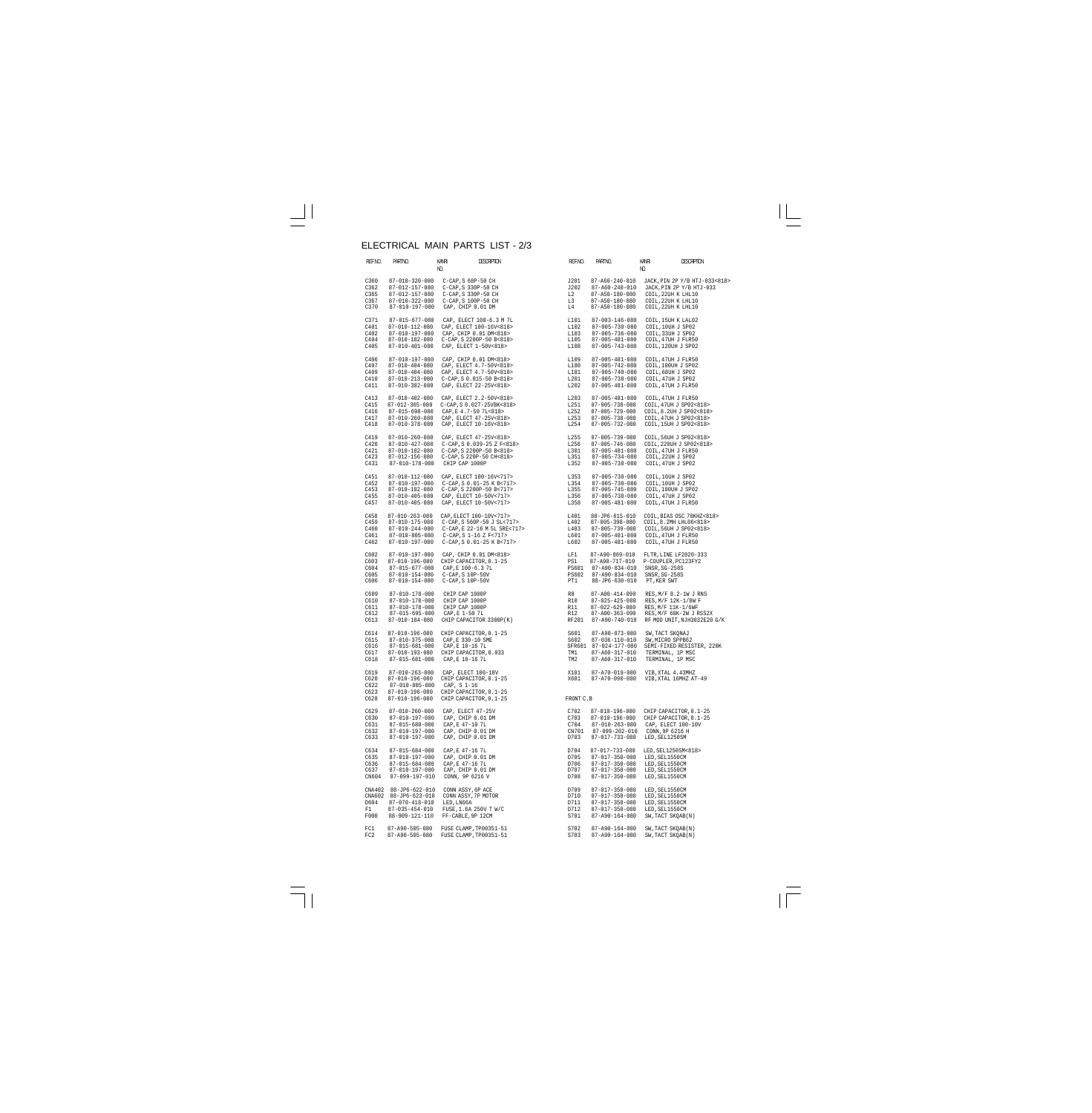## ELECTRICAL MAIN PARTS LIST - 2/3

| REF.NO.                                | PARTNO.                                                                                                                | Kanri<br>NQ.                                                                                                 | <b>DESCRIPTION</b>                                                                                                                           | REF.NO.                                        | PARTNO.                                                                                                                        | KANRI<br>NO.                                                                                                                | DESCRPTION                                                |
|----------------------------------------|------------------------------------------------------------------------------------------------------------------------|--------------------------------------------------------------------------------------------------------------|----------------------------------------------------------------------------------------------------------------------------------------------|------------------------------------------------|--------------------------------------------------------------------------------------------------------------------------------|-----------------------------------------------------------------------------------------------------------------------------|-----------------------------------------------------------|
| C360<br>C362<br>C365<br>C367<br>C370   | 87-010-320-080<br>87-012-157-080<br>87-012-157-080<br>87-010-322-080<br>87-010-197-080                                 | C-CAP, S 68P-50 CH<br>C-CAP, S 330P-50 CH<br>C-CAP, S 330P-50 CH<br>C-CAP, S 100P-50 CH<br>CAP, CHIP 0.01 DM |                                                                                                                                              | J201<br>J202<br>L2<br>L3<br>L4                 | 87-A60-240-010<br>87-A60-240-010<br>87-A50-180-080<br>87-A50-180-080<br>87-A50-180-080                                         | COIL, 22UH K LHL10<br>COIL, 22UH K LHL10<br>COIL, 22UH K LHL10                                                              | JACK, PIN 2P Y/B HTJ-033<818><br>JACK, PIN 2P Y/B HTJ-033 |
| C371<br>C401<br>C402<br>C404<br>C405   | 87-015-677-080<br>87-010-112-080<br>87-010-197-080<br>87-010-182-080<br>$87 - 010 - 401 - 080$                         |                                                                                                              | CAP, ELECT 100-6.3 M 7L<br>CAP, ELECT 100-16V<818><br>CAP, CHIP 0.01 DM<818><br>C-CAP, S 2200P-50 B<818><br>CAP, ELECT 1-50V<818>            | L101<br>L102<br>L103<br>L105<br>L108           | $87 - 003 - 146 - 080$<br>$87 - 005 - 730 - 080$<br>$87 - 005 - 736 - 080$<br>$87 - 005 - 481 - 080$<br>$87 - 005 - 743 - 080$ | COIL, 15UH K LAL02<br>COIL, 10UH J SP02<br>COIL, 33UH J SP02<br>COIL, 47UH J FLR50<br>COIL, 120UH J SP02                    |                                                           |
| C406<br>C407<br>C409<br>C410<br>C411   | 87-010-197-080<br>$87 - 010 - 404 - 080$<br>$87 - 010 - 404 - 080$<br>87-010-213-080<br>87-010-382-080                 |                                                                                                              | CAP, CHIP 0.01 DM<818><br>CAP, ELECT 4.7-50V<818><br>CAP, ELECT 4.7-50V<818><br>C-CAP, S 0.015-50 B<818><br>CAP, ELECT 22-25V<818>           | L109<br>L180<br>L181<br>L201<br>L202           | $87 - 005 - 481 - 080$<br>$87 - 005 - 742 - 080$<br>$87 - 005 - 740 - 080$<br>87-005-738-080<br>$87 - 005 - 481 - 080$         | COIL, 47UH J FLR50<br>COIL, 100UH J SP02<br>COIL, 68UH J SP02<br>COIL, 47UH J SP02<br>COIL, 47UH J FLR50                    |                                                           |
| C413<br>C415<br>C416<br>C417<br>C418   | 87-010-402-080<br>$87 - 012 - 365 - 080$<br>$87 - 015 - 698 - 080$<br>$87 - 010 - 260 - 080$<br>$87 - 010 - 378 - 080$ | CAP, E 4.7-50 7L<818>                                                                                        | CAP, ELECT 2.2-50V<818><br>C-CAP, S 0.027-25VBK<818><br>CAP, ELECT 47-25V<818><br>CAP, ELECT 10-16V<818>                                     | L203<br>L251<br>L252<br>L253<br>L254           | $87 - 005 - 481 - 080$<br>$87 - 005 - 738 - 080$<br>$87 - 005 - 729 - 080$<br>$87 - 005 - 738 - 080$<br>87-005-732-080         | COIL, 47UH J FLR50<br>COIL, 47UH J SP02<818><br>COIL, 8.2UH J SP02<818><br>COIL, 47UH J SP02<818><br>COIL, 15UH J SP02<818> |                                                           |
| C419<br>C420<br>C421<br>C423<br>C431   | $87 - 010 - 260 - 080$<br>87-010-427-080<br>87-010-182-080<br>87-012-156-080<br>87-010-178-080                         | CHIP CAP 1000P                                                                                               | CAP, ELECT 47-25V<818><br>C-CAP, S 0.039-25 Z F<818><br>C-CAP, S 2200P-50 B<818><br>C-CAP, S 220P-50 CH<818>                                 | L255<br>L256<br>L301<br>L351<br>L352           | $87 - 005 - 739 - 080$<br>$87 - 005 - 746 - 080$<br>$87 - 005 - 481 - 080$<br>$87 - 005 - 734 - 080$<br>87-005-738-080         | COIL, 56UH J SP02<818><br>COIL, 220UH J SP02<818><br>COIL, 47UH J FLR50<br>COIL, 22UH J SP02<br>COIL, 47UH J SP02           |                                                           |
| C451<br>C452<br>C453<br>C455<br>C457   | 87-010-112-080<br>87-010-197-080<br>87-010-182-080<br>87-010-405-080<br>87-010-405-080                                 |                                                                                                              | CAP, ELECT 100-16V<717><br>C-CAP, S 0.01-25 K B<717><br>C-CAP, S 2200P-50 B<717><br>CAP, ELECT 10-50V<717><br>CAP, ELECT 10-50V<717>         | L353<br>L354<br>L355<br>L356<br>L358           | $87 - 005 - 730 - 080$<br>87-005-730-080<br>87-005-745-080<br>$87 - 005 - 738 - 080$<br>$87 - 005 - 481 - 080$                 | COIL, 10UH J SP02<br>COIL, 10UH J SP02<br>COIL, 180UH J SP02<br>COIL, 47UH J SP02<br>COIL, 47UH J FLR50                     |                                                           |
| C458<br>C459<br>C460<br>C461<br>C462   | $87 - 010 - 263 - 080$<br>87-010-175-080<br>$87 - 010 - 244 - 080$<br>87-010-805-080<br>87-010-197-080                 |                                                                                                              | CAP, ELECT 100-10V<717><br>C-CAP, S 560P-50 J SL<717><br>C-CAP, E 22-16 M 5L SRE<717><br>C-CAP, S 1-16 Z F<717><br>C-CAP, S 0.01-25 K B<717> | L401<br>L402<br>L403<br>L601<br>L602           | 88-JP6-615-010<br>$87 - 005 - 398 - 080$<br>$87 - 005 - 739 - 080$<br>$87 - 005 - 481 - 080$<br>$87 - 005 - 481 - 080$         | COIL, 8.2MH LHL06<818><br>COIL, 56UH J SP02<818><br>COIL, 47UH J FLR50<br>COIL, 47UH J FLR50                                | COIL, BIAS OSC 70KHZ<818>                                 |
| C602<br>C603<br>C604<br>C605<br>C606   | 87-010-197-080<br>87-010-196-080<br>87-015-677-080<br>$87 - 010 - 154 - 080$<br>87-010-154-080                         | $C-CAP$ , $S$ $10P-50V$<br>$C-CAP$ , $S$ $10P-50V$                                                           | CAP, CHIP 0.01 DM<818><br>CHIP CAPACITOR, 0.1-25<br>CAP, E 100-6.3 7L<br>CAP - 200-6.3 7L                                                    | LF1<br>PS1<br>PS601<br>PS602<br>PT1            | 87-A90-869-010<br>87-A90-717-010<br>87-A90-834-010<br>87-A90-834-010<br>88-JP6-630-010                                         | FLTR, LINE LF2020-333<br>P-COUPLER, PC123FY2<br>SNSR, SG-258S<br>SNSR, SG-258S<br>PT, KER SWT                               |                                                           |
| C609<br>C610<br>C611<br>C612<br>C613   | 87-010-178-080<br>87-010-178-080<br>87-010-178-080<br>$87 - 015 - 695 - 080$<br>87-010-184-080                         | CHIP CAP 1000P<br>CHIP CAP 1000P<br>CHIP CAP 1000P<br>CAP, E 1-50 7L                                         | CHIP CAPACITOR 3300P(K)                                                                                                                      | R8<br><b>R10</b><br><b>R11</b><br>R12<br>RF201 | 87-A00-414-090<br>$87 - 025 - 425 - 080$<br>$87 - 022 - 629 - 080$<br>$87 - A00 - 363 - 090$<br>87-A90-740-010                 | $RES$ , $M/F$ 8.2-1W J RNS<br>RES, M/F 12K-1/8W F<br>RES, M/F 11K-1/6WF                                                     | RES, M/F 68K-2W J RSS2X<br>RF MOD UNIT, NJH3032E20 G/K    |
| C614<br>C615<br>C616<br>C617<br>C618   | $87 - 010 - 196 - 080$<br>$87 - 010 - 375 - 080$<br>87-015-681-080<br>$87 - 010 - 193 - 080$<br>87-015-681-080         | CAP, E 330-10 SME<br>CAP, E 10-16 7L<br>CHIP CAPACITOR, 0.033<br>CAP, E 10-16 7L                             | CHIP CAPACITOR, 0.1-25                                                                                                                       | S601<br>S602<br>TM1<br>TM <sub>2</sub>         | 87-A90-873-080<br>87-036-110-010<br>SFR601 87-024-177-080<br>87-A60-317-010<br>87-A60-317-010                                  | SW, TACT SKONAJ<br>SW, MICRO SPPB62<br>TERMINAL, 1P MSC<br>TERMINAL, 1P MSC                                                 | SEMI-FIXED RESISTER, 220K                                 |
| C619<br>C620<br>C622<br>C623<br>C628   | 87-010-263-080<br>$87 - 010 - 196 - 080$<br>87-010-805-080<br>87-010-196-080<br>$87 - 010 - 196 - 080$                 | CAP, ELECT 100-10V<br>CAP, S 1-16                                                                            | CHIP CAPACITOR, 0.1-25<br>CHIP CAPACITOR, 0.1-25<br>CHIP CAPACITOR, 0.1-25                                                                   | X101<br>X601<br>FRONT C.B                      | 87-A70-019-080<br>$87 - A70 - 090 - 080$                                                                                       | VIB, XTAL 4.43MHZ<br>VIB, XTAL 16MHZ AT-49                                                                                  |                                                           |
| C629<br>C630<br>C631<br>C632<br>C633   | $87 - 010 - 260 - 080$<br>87-010-197-080<br>87-015-680-080<br>87-010-197-080<br>87-010-197-080                         | CAP, ELECT 47-25V<br>CAP, CHIP 0.01 DM<br>CAP, E 47-10 7L<br>CAP, CHIP 0.01 DM<br>CAP, CHIP 0.01 DM          |                                                                                                                                              | C702<br>C703<br>C704<br>CN701<br>D703          | 87-010-196-080<br>$87 - 010 - 196 - 080$<br>87-010-263-080<br>$87 - 099 - 202 - 010$<br>87-017-733-080                         | CHIP CAPACITOR, 0.1-25<br>CHIP CAPACITOR, 0.1-25<br>CAP, ELECT 100-10V<br>CONN, 9P 6216 H<br>LED, SEL1250SM                 |                                                           |
| C634<br>C635<br>C636<br>C637<br>CN604  | 87-015-684-080<br>87-010-197-080<br>87-015-684-080<br>87-010-197-080<br>87-099-197-010                                 | CAP, E 47-16 7L<br>CAP, CHIP 0.01 DM<br>CAP, E 47-16 7L<br>CAP, CHIP 0.01 DM<br>CONN, 9P 6216 V              |                                                                                                                                              | D704<br>D705<br>D706<br>D707<br>D708           | 87-017-733-080<br>$87 - 017 - 350 - 080$<br>$87 - 017 - 350 - 080$<br>$87 - 017 - 350 - 080$<br>87-017-350-080                 | LED, SEL1250SM<818><br>LED, SEL1550CM<br>LED, SEL1550CM<br>LED, SEL1550CM<br>LED, SEL1550CM                                 |                                                           |
| CNA402<br>CNA602<br>D604<br>F1<br>F000 | 88-JP6-622-010<br>88-JP6-623-010<br>$87 - 070 - 418 - 010$<br>$87 - 035 - 454 - 010$<br>88-909-121-110                 | CONN ASSY, 6P ACE<br>CONN ASSY, 7P MOTOR<br>LED, LN66A<br>FF-CABLE, 9P 12CM                                  | FUSE, 1.6A 250V T W/C                                                                                                                        | D709<br>D710<br>D711<br>D712<br>S701           | 87-017-350-080<br>87-017-350-080<br>$87 - 017 - 350 - 080$<br>$87 - 017 - 350 - 080$<br>87-A90-164-080                         | LED, SEL1550CM<br>LED, SEL1550CM<br>LED, SEL1550CM<br>LED, SEL1550CM<br>SW, TACT SKQAB(N)                                   |                                                           |
| FC1<br>FC2                             | 87-A90-505-080<br>87-A90-505-080                                                                                       |                                                                                                              | FUSE CLAMP, TP00351-51<br>FUSE CLAMP, TP00351-51                                                                                             | S702<br>S703                                   | 87-A90-164-080<br>87-A90-164-080                                                                                               | SW, TACT SKQAB(N)<br>SW, TACT SKQAB(N)                                                                                      |                                                           |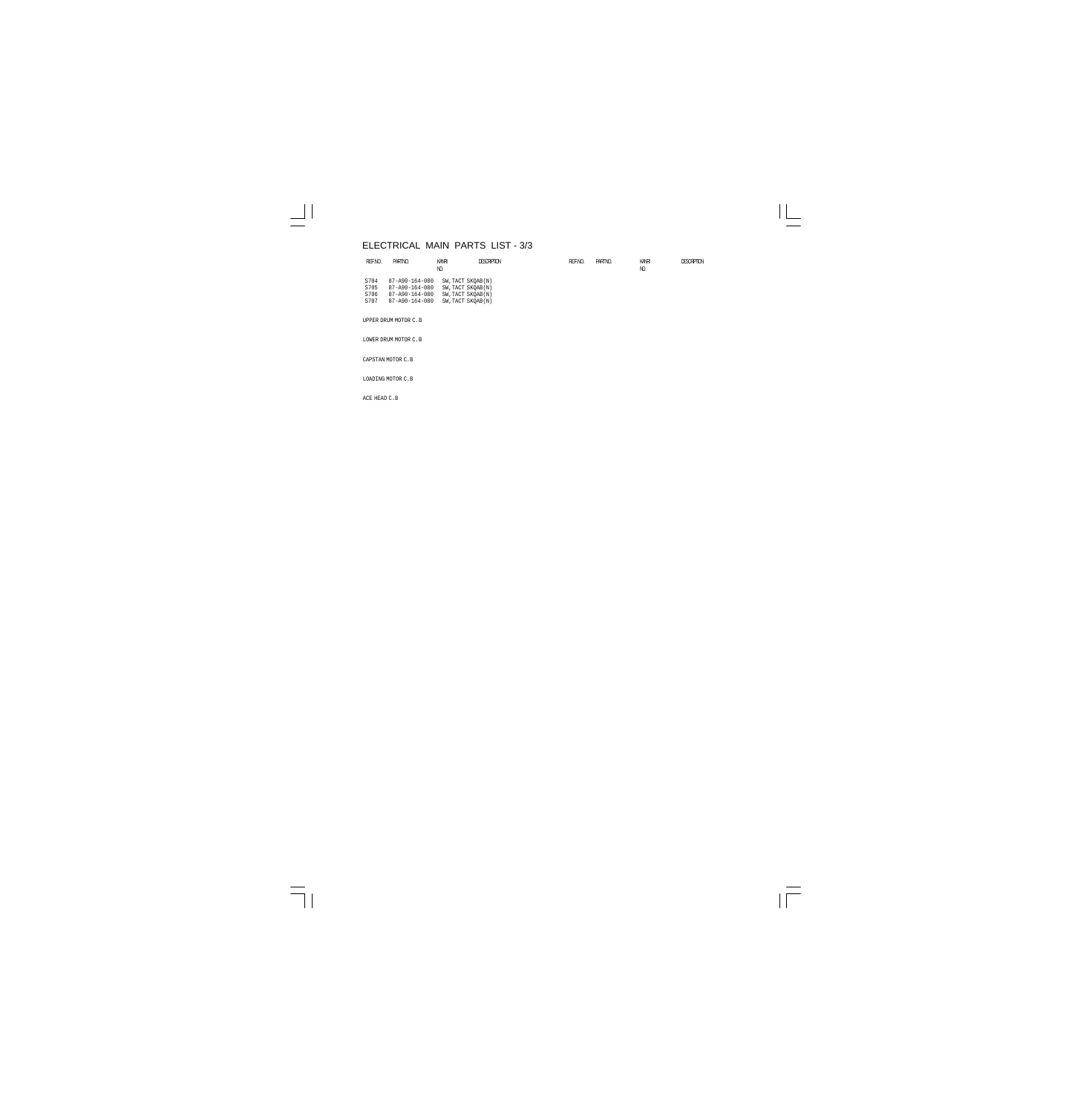## ELECTRICAL MAIN PARTS LIST - 3/3

| REF.NO. | PARTINO.                                                                                                                                                                                                                                                              | KANRI<br>N)               | <b>DESCRIPTION</b> | REF.NO. | PARTINO. | KANRI<br>Ю | <b>DESCRIPTION</b> |
|---------|-----------------------------------------------------------------------------------------------------------------------------------------------------------------------------------------------------------------------------------------------------------------------|---------------------------|--------------------|---------|----------|------------|--------------------|
| $  -$   | S704 87-A90-164-080 SW, TACT SKOAB(N)<br>$-0.0$ $-0.0$ $-0.0$ $-0.00$ $-0.00$ $-0.00$ $-0.00$ $-0.00$ $-0.00$ $-0.00$ $-0.00$ $-0.00$ $-0.00$ $-0.00$ $-0.00$ $-0.00$ $-0.00$ $-0.00$ $-0.00$ $-0.00$ $-0.00$ $-0.00$ $-0.00$ $-0.00$ $-0.00$ $-0.00$ $-0.00$ $-0.00$ | --- -- -- -- ---- - - - - |                    |         |          |            |                    |

| S705 | 87-A90-164-080         | SW, TACT SKOAB(N) |
|------|------------------------|-------------------|
| S706 | 87-A90-164-080         | SW, TACT SKOAB(N) |
| S707 | $87 - A90 - 164 - 080$ | SW, TACT SKOAB(N) |
|      |                        |                   |

UPPER DRUM MOTOR C.B

LOWER DRUM MOTOR C.B

CAPSTAN MOTOR C.B

LOADING MOTOR C.B

ACE HEAD C.B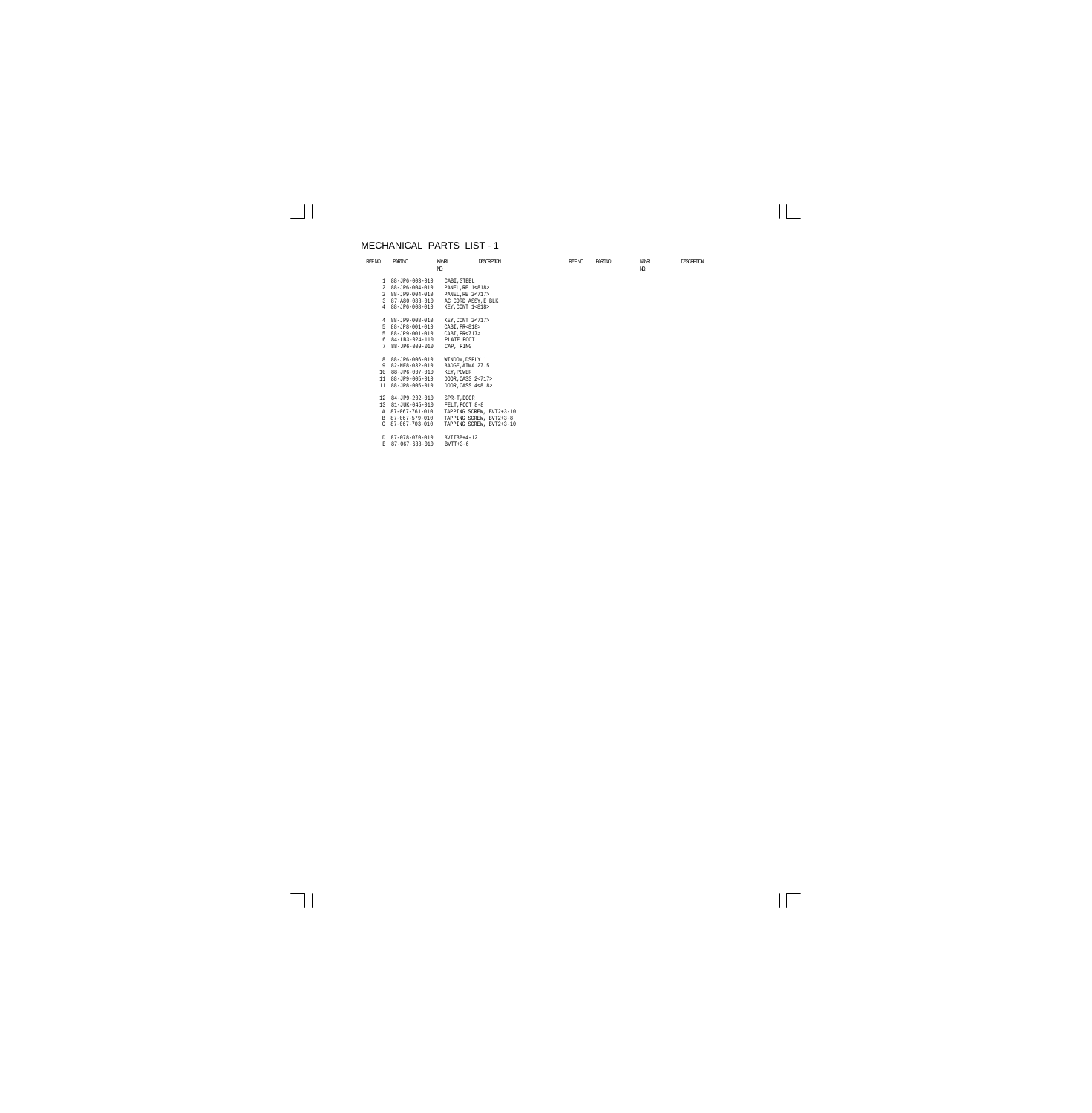#### MECHANICAL PARTS LIST - 1

E 87-067-688-010 BVTT+3-6

| REF.NO.       | PARTNO.                 | KANRI               | <b>DESCRIPTION</b>       | REF.NO. | PARTINO. | KANRI          | <b>DESCRIPTION</b> |
|---------------|-------------------------|---------------------|--------------------------|---------|----------|----------------|--------------------|
|               |                         | NO.                 |                          |         |          | N <sub>D</sub> |                    |
|               | $188 - JP6 - 003 - 010$ | CABI, STEEL         |                          |         |          |                |                    |
|               | 2 88-JP6-004-010        | PANEL, RE 1<818>    |                          |         |          |                |                    |
|               | 2 88-JP9-004-010        | PANEL, RE 2<717>    |                          |         |          |                |                    |
| 3             | 87-A80-088-010          | AC CORD ASSY, E BLK |                          |         |          |                |                    |
|               | 4 88-JP6-008-010        | KEY, CONT 1<818>    |                          |         |          |                |                    |
|               |                         |                     |                          |         |          |                |                    |
|               | 4 88-JP9-008-010        | KEY. CONT 2<717>    |                          |         |          |                |                    |
|               | 5 88-JP8-001-010        | CABI, FR<818>       |                          |         |          |                |                    |
| .5            | 88-JP9-001-010          | CABI, FR<717>       |                          |         |          |                |                    |
|               | 6 84-LB3-024-110        | PLATE FOOT          |                          |         |          |                |                    |
| 7             | 88-JP6-009-010          | CAP, RING           |                          |         |          |                |                    |
|               |                         |                     |                          |         |          |                |                    |
|               | 8 88-JP6-006-010        | WINDOW, DSPLY 1     |                          |         |          |                |                    |
| 9             | 82-NE8-032-010          | BADGE, AIWA 27.5    |                          |         |          |                |                    |
|               | 10 88-JP6-007-010       | KEY, POWER          |                          |         |          |                |                    |
|               | 11 88-JP9-005-010       | DOOR, CASS 2<717>   |                          |         |          |                |                    |
| 11            | 88-JP8-005-010          | DOOR, CASS 4<818>   |                          |         |          |                |                    |
|               | 12 84-JP9-202-010       | SPR-T, DOOR         |                          |         |          |                |                    |
|               | 13 81-JUK-045-010       | FELT, FOOT 8-8      |                          |         |          |                |                    |
|               | A 87-067-761-010        |                     | TAPPING SCREW, BVT2+3-10 |         |          |                |                    |
| B             | 87-067-579-010          |                     | TAPPING SCREW, BVT2+3-8  |         |          |                |                    |
| $\mathcal{C}$ | 87-067-703-010          |                     | TAPPING SCREW, BVT2+3-10 |         |          |                |                    |
|               |                         |                     |                          |         |          |                |                    |
|               | D 87-078-070-010        | BVIT3B+4-12         |                          |         |          |                |                    |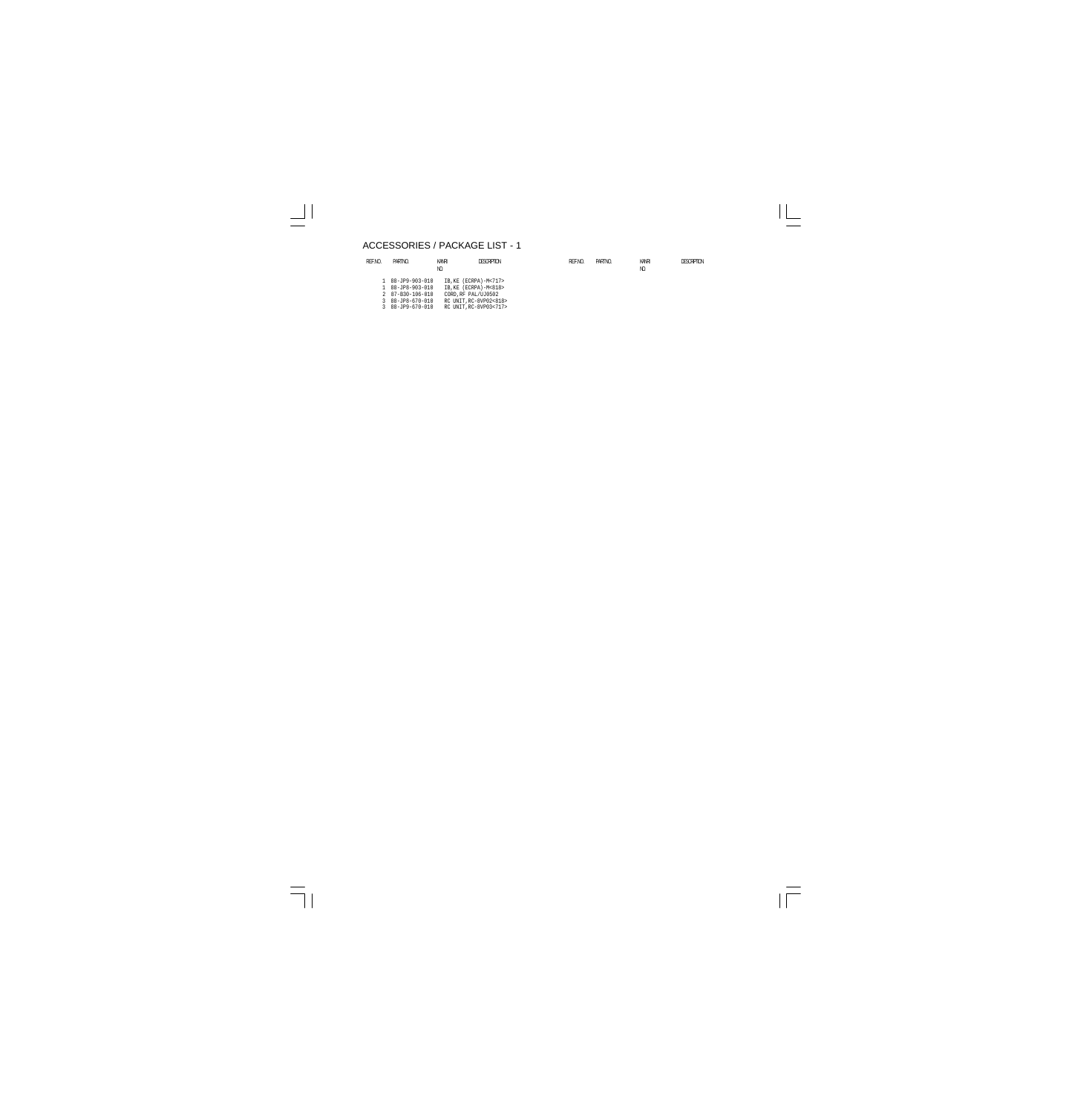## ACCESSORIES / PACKAGE LIST - 1

 3 88-JP8-670-010 RC UNIT,RC-8VP02<818> 3 88-JP9-670-010 RC UNIT,RC-8VP03<717>

| REF.NO. | PARTNO.          | KANRI<br>N) | <b>DESCRIPTION</b>    | REF.NO. | PARTINO. | KANRI<br>N) | <b>DESCRPTON</b> |
|---------|------------------|-------------|-----------------------|---------|----------|-------------|------------------|
|         | 1 88-JP9-903-010 |             | IB,KE (ECRPA)-M<717>  |         |          |             |                  |
|         | 1 88-JP8-903-010 |             | IB, KE (ECRPA)-M<818> |         |          |             |                  |
|         | 2 87-B30-106-010 |             | CORD.RF PAL/UJ0502    |         |          |             |                  |
|         |                  |             |                       |         |          |             |                  |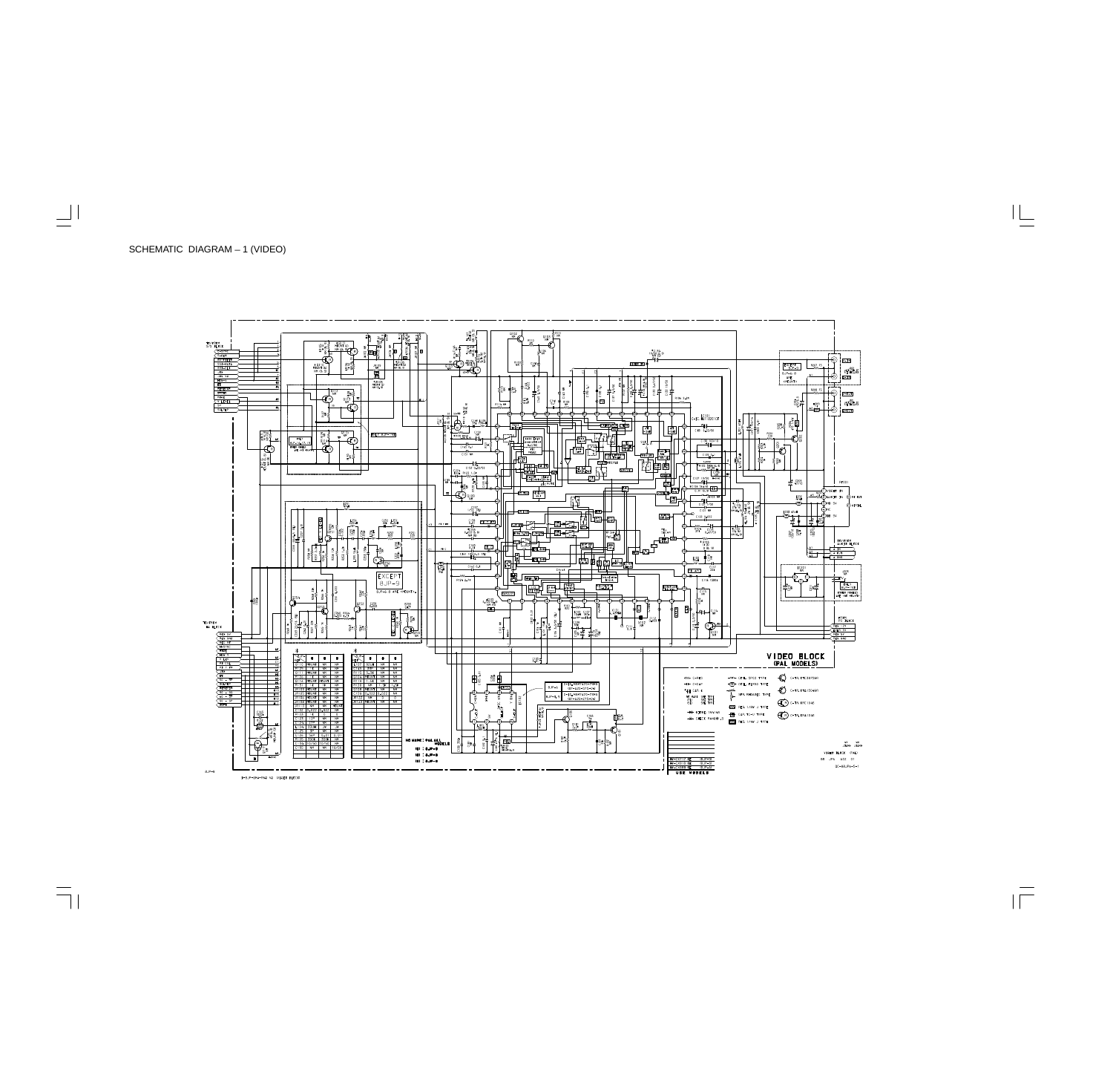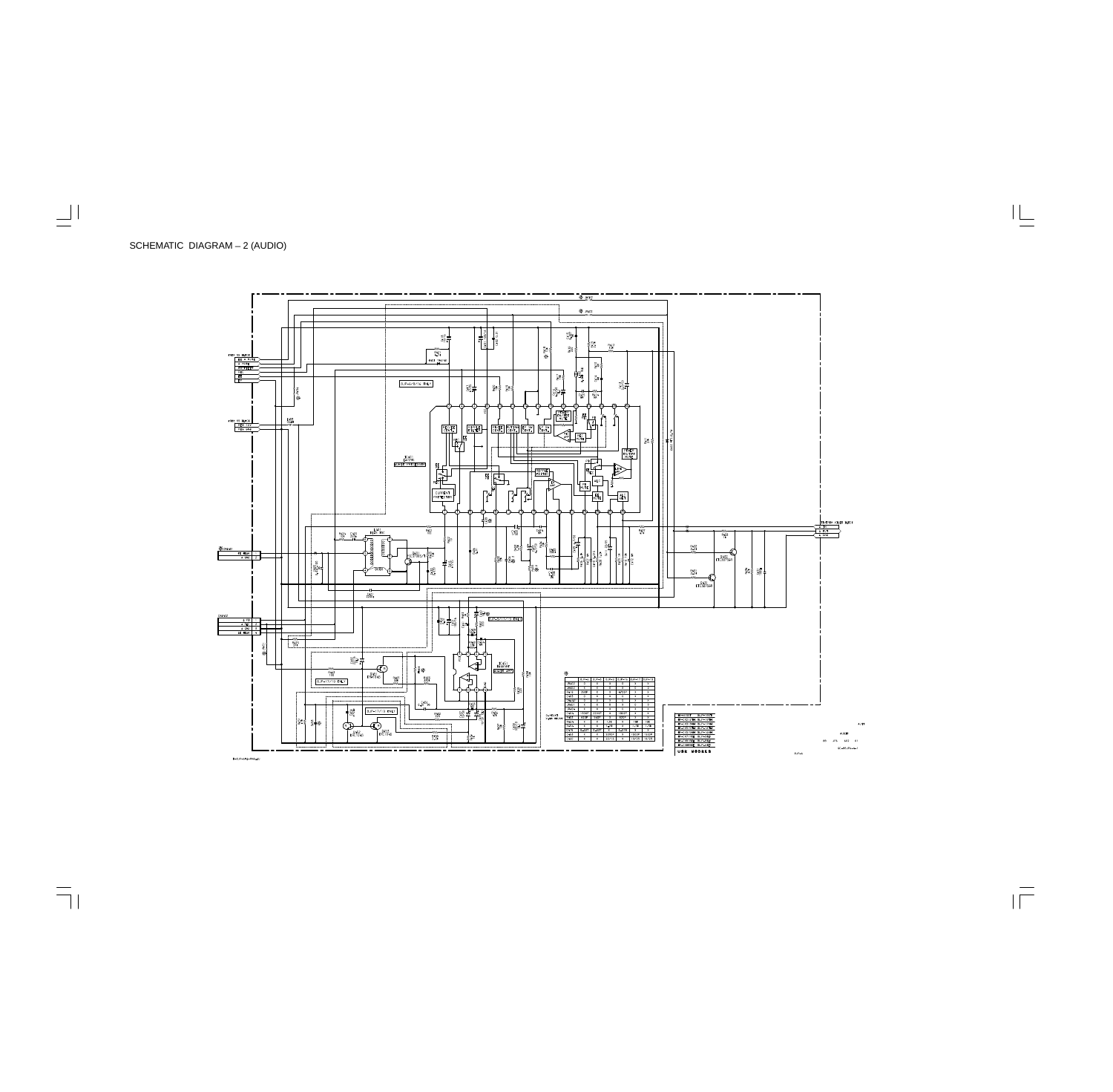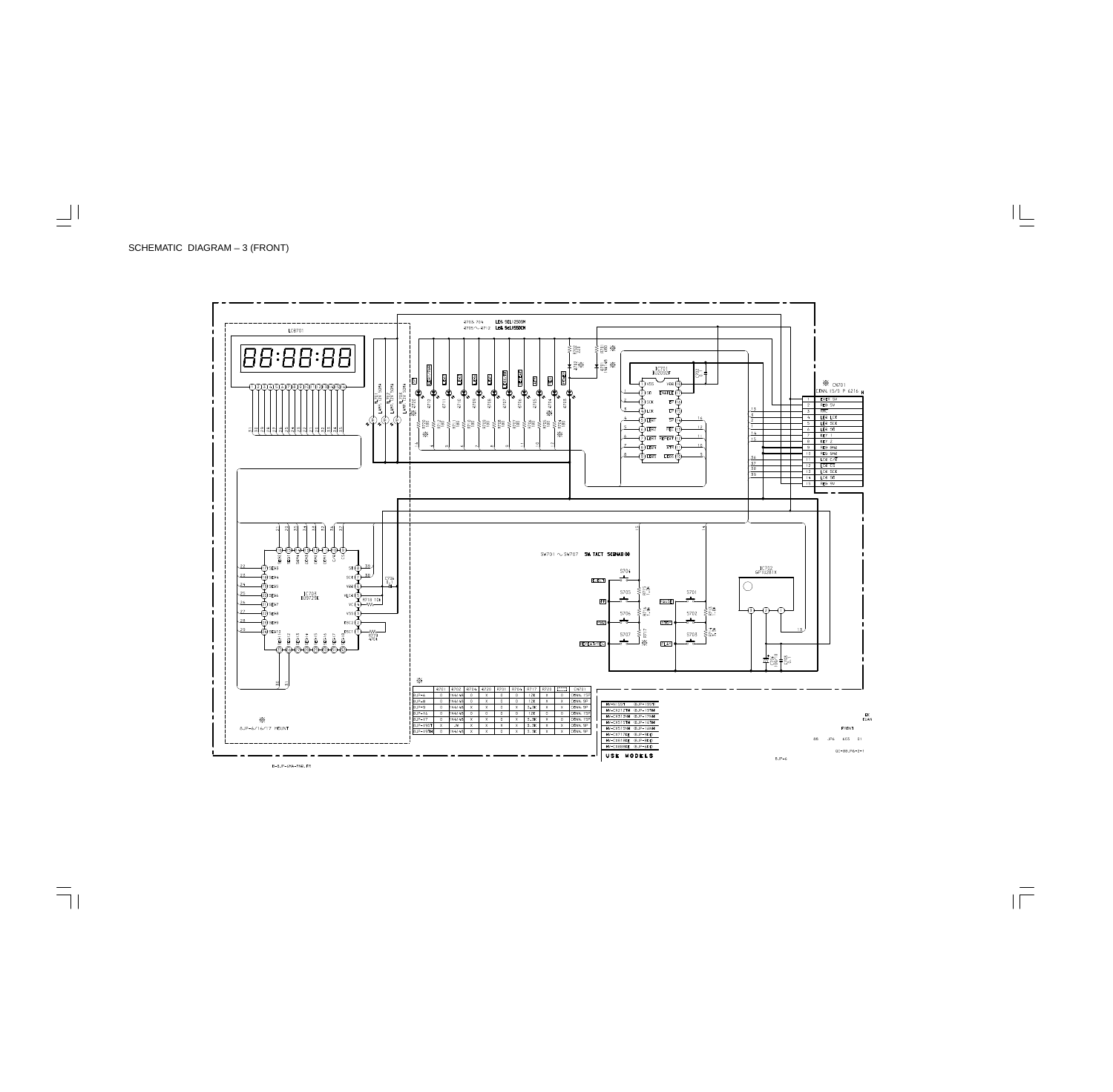

B-8JP-6MA-RND.FR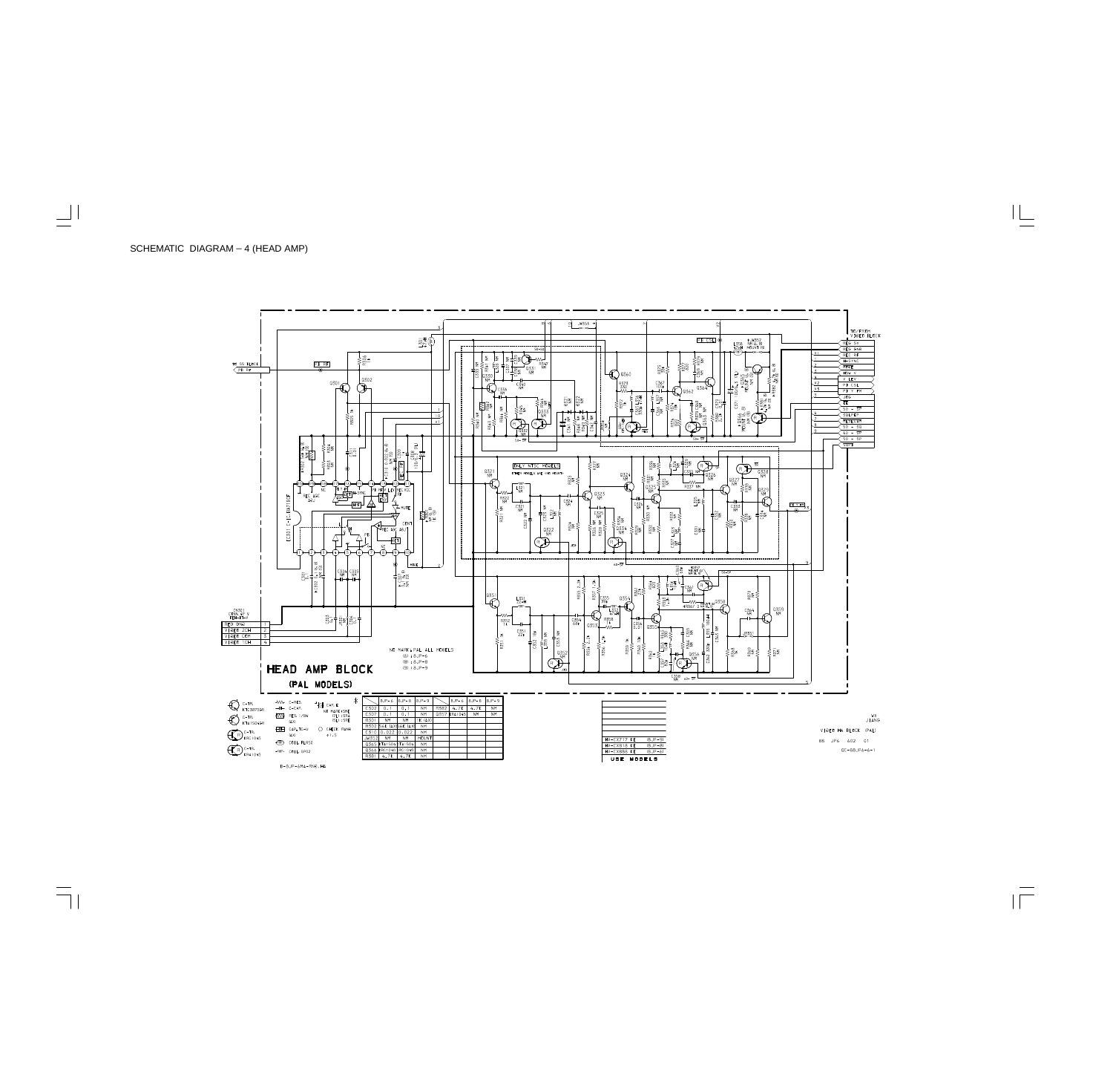

B-8JP-6MA-RND.HA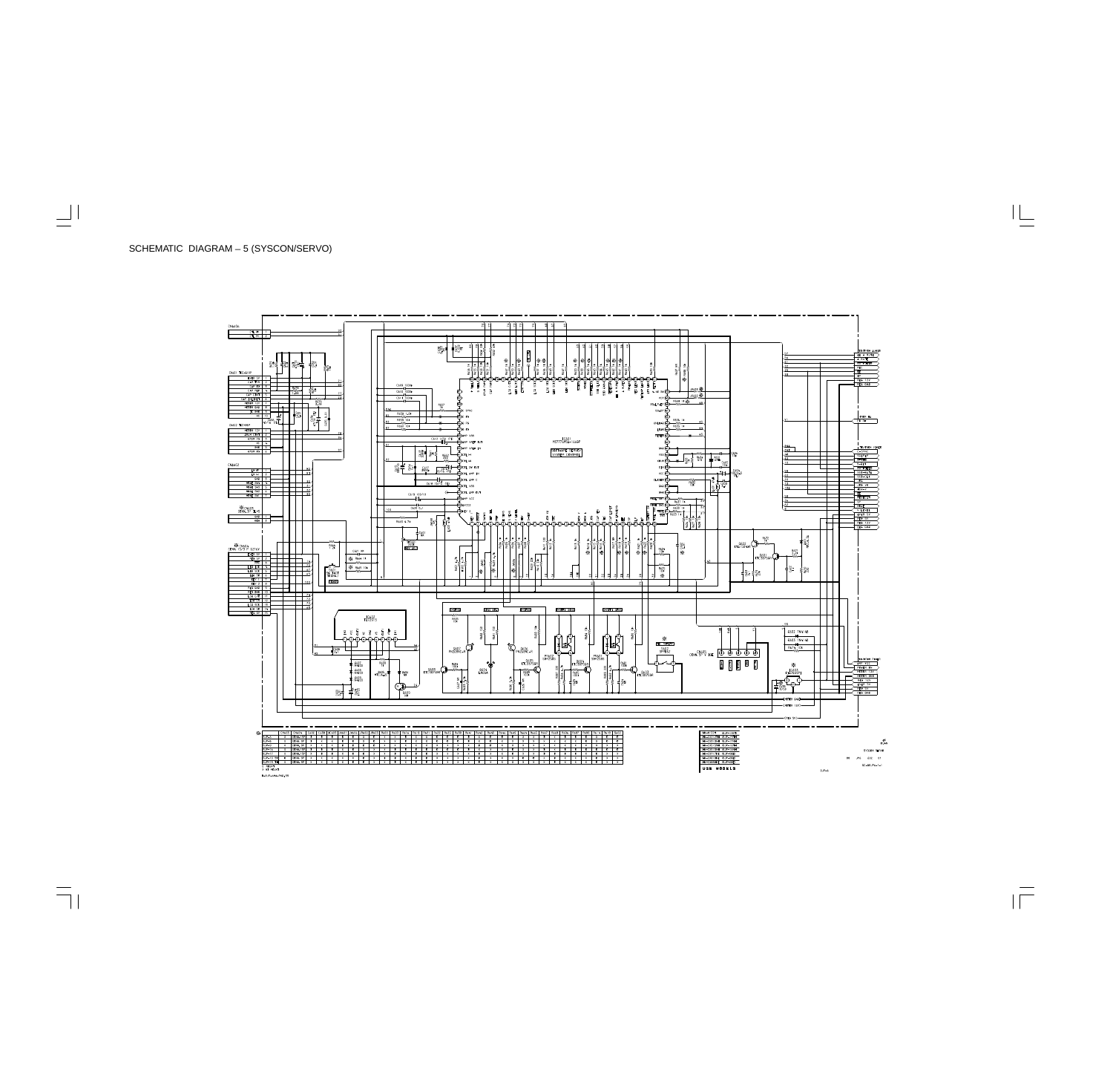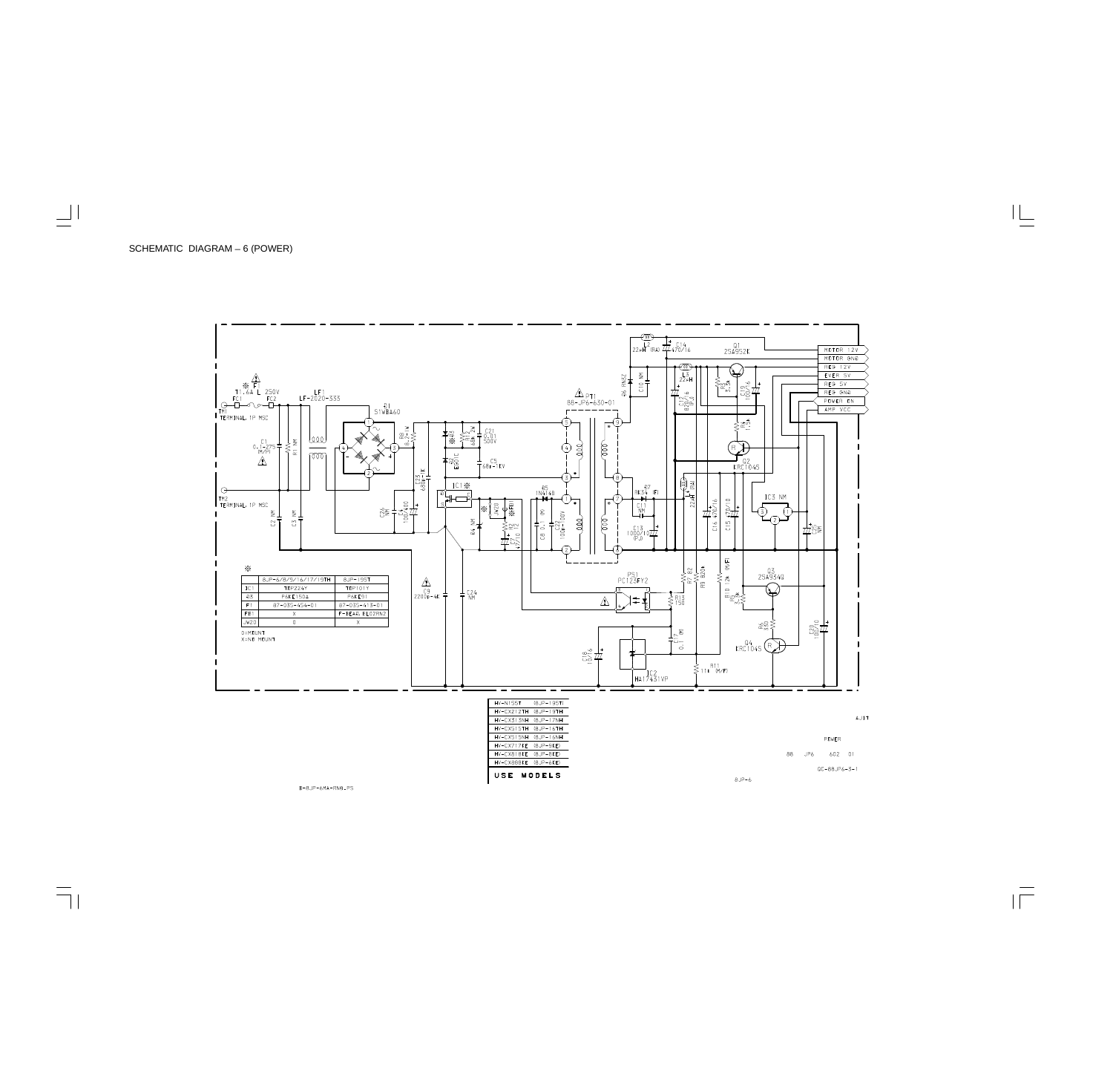

B-8JP-6MA-RND.PS

 $8JP-6$